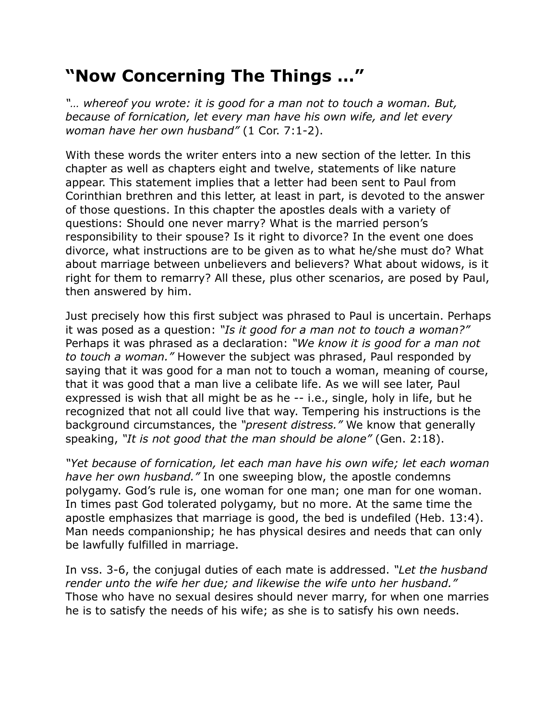## **"Now Concerning The Things …"**

*"… whereof you wrote: it is good for a man not to touch a woman. But, because of fornication, let every man have his own wife, and let every woman have her own husband"* (1 Cor. 7:1-2).

With these words the writer enters into a new section of the letter. In this chapter as well as chapters eight and twelve, statements of like nature appear. This statement implies that a letter had been sent to Paul from Corinthian brethren and this letter, at least in part, is devoted to the answer of those questions. In this chapter the apostles deals with a variety of questions: Should one never marry? What is the married person's responsibility to their spouse? Is it right to divorce? In the event one does divorce, what instructions are to be given as to what he/she must do? What about marriage between unbelievers and believers? What about widows, is it right for them to remarry? All these, plus other scenarios, are posed by Paul, then answered by him.

Just precisely how this first subject was phrased to Paul is uncertain. Perhaps it was posed as a question: *"Is it good for a man not to touch a woman?"* Perhaps it was phrased as a declaration: *"We know it is good for a man not to touch a woman."* However the subject was phrased, Paul responded by saying that it was good for a man not to touch a woman, meaning of course, that it was good that a man live a celibate life. As we will see later, Paul expressed is wish that all might be as he -- i.e., single, holy in life, but he recognized that not all could live that way. Tempering his instructions is the background circumstances, the *"present distress."* We know that generally speaking, *"It is not good that the man should be alone"* (Gen. 2:18).

*"Yet because of fornication, let each man have his own wife; let each woman have her own husband."* In one sweeping blow, the apostle condemns polygamy. God's rule is, one woman for one man; one man for one woman. In times past God tolerated polygamy, but no more. At the same time the apostle emphasizes that marriage is good, the bed is undefiled (Heb. 13:4). Man needs companionship; he has physical desires and needs that can only be lawfully fulfilled in marriage.

In vss. 3-6, the conjugal duties of each mate is addressed. *"Let the husband render unto the wife her due; and likewise the wife unto her husband."* Those who have no sexual desires should never marry, for when one marries he is to satisfy the needs of his wife; as she is to satisfy his own needs.